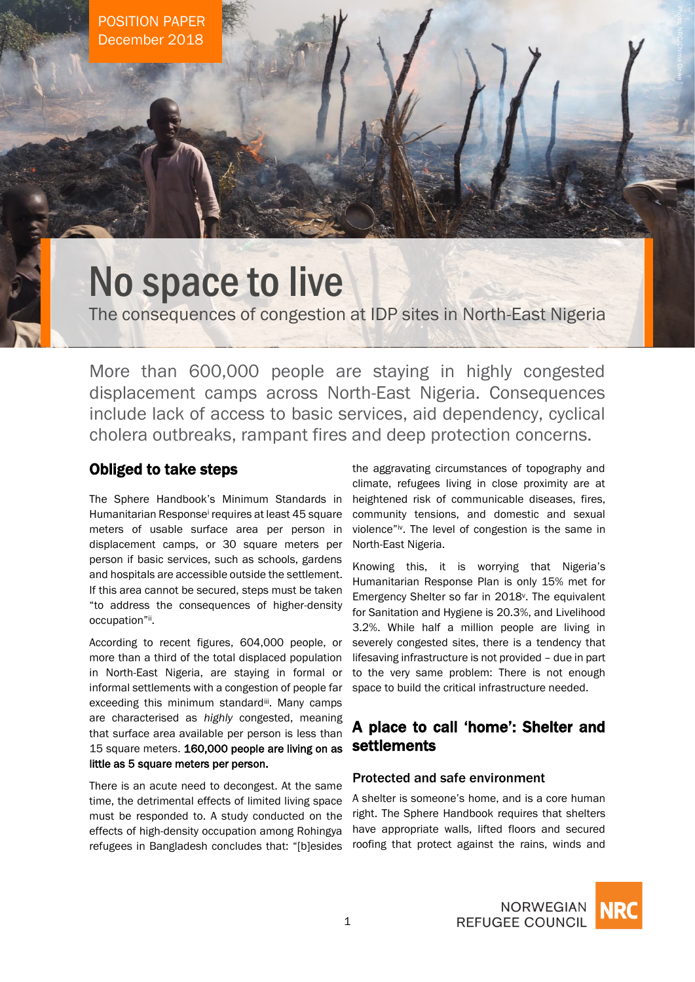# No space to live

The consequences of congestion at IDP sites in North-East Nigeria

More than 600,000 people are staying in highly congested displacement camps across North-East Nigeria. Consequences include lack of access to basic services, aid dependency, cyclical cholera outbreaks, rampant fires and deep protection concerns.

## Obliged to take steps

The Sphere Handbook's Minimum Standards in Humanitarian Response<sup>i</sup> requires at least 45 square meters of usable surface area per person in displacement camps, or 30 square meters per person if basic services, such as schools, gardens and hospitals are accessible outside the settlement. If this area cannot be secured, steps must be taken "to address the consequences of higher-density occupation"ii.

According to recent figures, 604,000 people, or more than a third of the total displaced population in North-East Nigeria, are staying in formal or informal settlements with a congestion of people far exceeding this minimum standardii. Many camps are characterised as *highly* congested, meaning that surface area available per person is less than 15 square meters. 160,000 people are living on as little as 5 square meters per person.

There is an acute need to decongest. At the same time, the detrimental effects of limited living space must be responded to. A study conducted on the effects of high-density occupation among Rohingya refugees in Bangladesh concludes that: "[b]esides

the aggravating circumstances of topography and climate, refugees living in close proximity are at heightened risk of communicable diseases, fires, community tensions, and domestic and sexual violence"iv. The level of congestion is the same in North-East Nigeria.

Knowing this, it is worrying that Nigeria's Humanitarian Response Plan is only 15% met for Emergency Shelter so far in 2018<sup>v</sup> . The equivalent for Sanitation and Hygiene is 20.3%, and Livelihood 3.2%. While half a million people are living in severely congested sites, there is a tendency that lifesaving infrastructure is not provided – due in part to the very same problem: There is not enough space to build the critical infrastructure needed.

# A place to call 'home': Shelter and settlements

## Protected and safe environment

A shelter is someone's home, and is a core human right. The Sphere Handbook requires that shelters have appropriate walls, lifted floors and secured roofing that protect against the rains, winds and

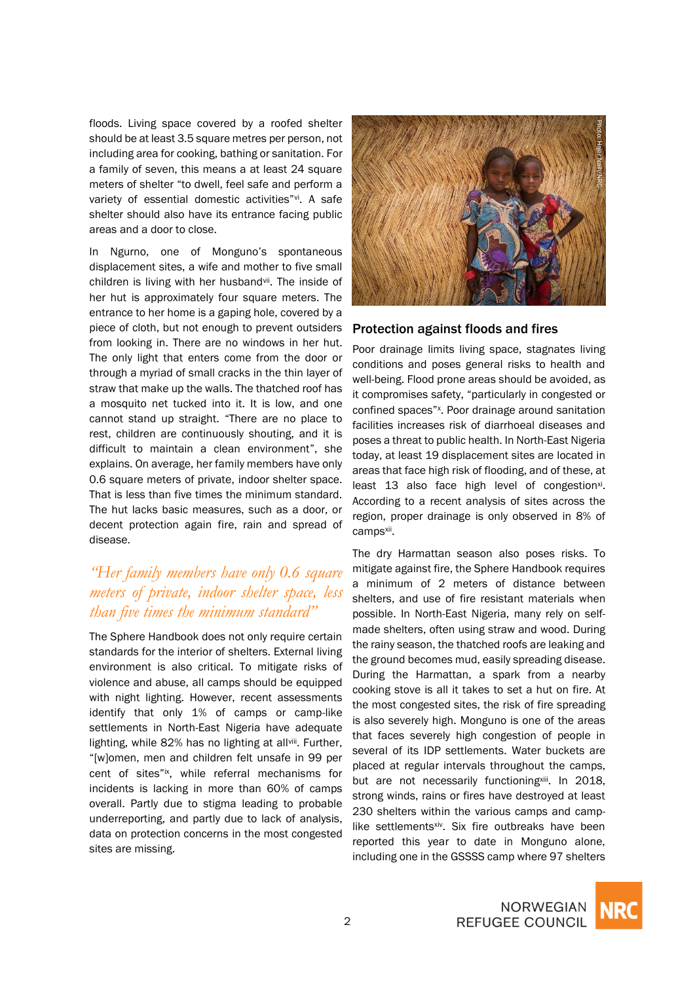floods. Living space covered by a roofed shelter should be at least 3.5 square metres per person, not including area for cooking, bathing or sanitation. For a family of seven, this means a at least 24 square meters of shelter "to dwell, feel safe and perform a variety of essential domestic activities"<sup>vi</sup>. A safe shelter should also have its entrance facing public areas and a door to close.

In Ngurno, one of Monguno's spontaneous displacement sites, a wife and mother to five small children is living with her husbandvil. The inside of her hut is approximately four square meters. The entrance to her home is a gaping hole, covered by a piece of cloth, but not enough to prevent outsiders from looking in. There are no windows in her hut. The only light that enters come from the door or through a myriad of small cracks in the thin layer of straw that make up the walls. The thatched roof has a mosquito net tucked into it. It is low, and one cannot stand up straight. "There are no place to rest, children are continuously shouting, and it is difficult to maintain a clean environment", she explains. On average, her family members have only 0.6 square meters of private, indoor shelter space. That is less than five times the minimum standard. The hut lacks basic measures, such as a door, or decent protection again fire, rain and spread of disease.

# *"Her family members have only 0.6 square meters of private, indoor shelter space, less than five times the minimum standard"*

The Sphere Handbook does not only require certain standards for the interior of shelters. External living environment is also critical. To mitigate risks of violence and abuse, all camps should be equipped with night lighting. However, recent assessments identify that only 1% of camps or camp-like settlements in North-East Nigeria have adequate lighting, while 82% has no lighting at allviii. Further, "[w]omen, men and children felt unsafe in 99 per cent of sites"ix, while referral mechanisms for incidents is lacking in more than 60% of camps overall. Partly due to stigma leading to probable underreporting, and partly due to lack of analysis, data on protection concerns in the most congested sites are missing.



#### Protection against floods and fires

Poor drainage limits living space, stagnates living conditions and poses general risks to health and well-being. Flood prone areas should be avoided, as it compromises safety, "particularly in congested or confined spaces"<sup>x</sup>. Poor drainage around sanitation facilities increases risk of diarrhoeal diseases and poses a threat to public health. In North-East Nigeria today, at least 19 displacement sites are located in areas that face high risk of flooding, and of these, at least 13 also face high level of congestion<sup>xi</sup>. According to a recent analysis of sites across the region, proper drainage is only observed in 8% of camps<sup>xii</sup>.

The dry Harmattan season also poses risks. To mitigate against fire, the Sphere Handbook requires a minimum of 2 meters of distance between shelters, and use of fire resistant materials when possible. In North-East Nigeria, many rely on selfmade shelters, often using straw and wood. During the rainy season, the thatched roofs are leaking and the ground becomes mud, easily spreading disease. During the Harmattan, a spark from a nearby cooking stove is all it takes to set a hut on fire. At the most congested sites, the risk of fire spreading is also severely high. Monguno is one of the areas that faces severely high congestion of people in several of its IDP settlements. Water buckets are placed at regular intervals throughout the camps, but are not necessarily functioningxiii. In 2018, strong winds, rains or fires have destroyed at least 230 shelters within the various camps and camplike settlementsxiv. Six fire outbreaks have been reported this year to date in Monguno alone, **Protection against floods and fires**<br> **Protection against floods and fires**<br>
Poor drainage limits living space, stagnates living<br>
conditions and poses general risks to health and<br>
well-bien, Flood prone areas should be av

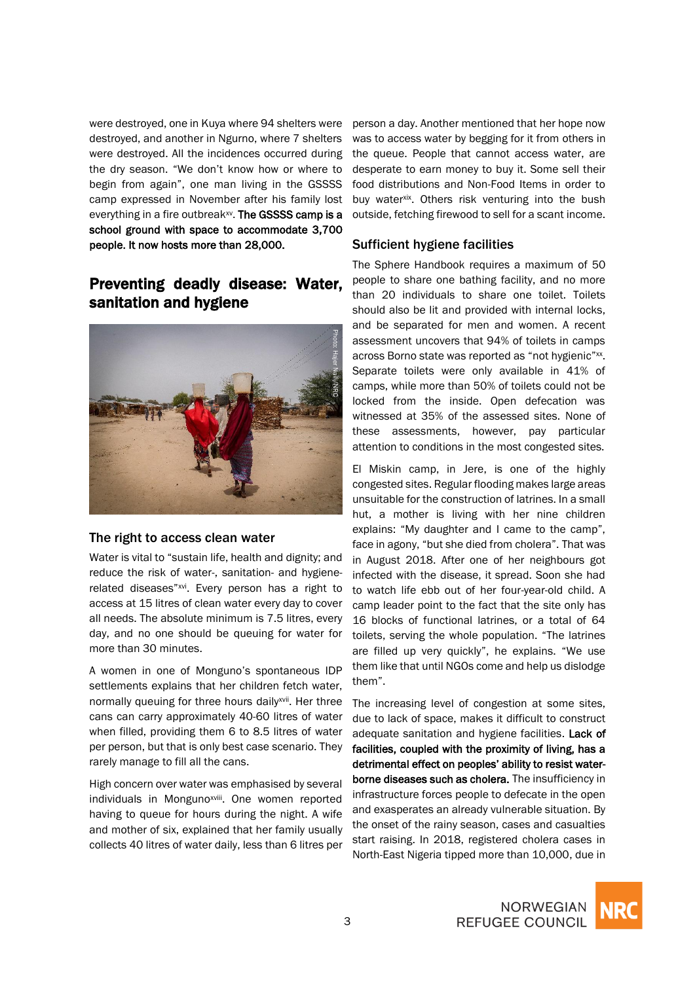were destroyed, one in Kuya where 94 shelters were destroyed, and another in Ngurno, where 7 shelters were destroyed. All the incidences occurred during the dry season. "We don't know how or where to begin from again", one man living in the GSSSS camp expressed in November after his family lost everything in a fire outbreak<sup>xv</sup>. The GSSSS camp is a school ground with space to accommodate 3,700 people. It now hosts more than 28,000.

## Preventing deadly disease: Water, sanitation and hygiene



#### The right to access clean water

Water is vital to "sustain life, health and dignity; and reduce the risk of water-, sanitation- and hygienerelated diseases"xvi . Every person has a right to access at 15 litres of clean water every day to cover all needs. The absolute minimum is 7.5 litres, every day, and no one should be queuing for water for more than 30 minutes.

A women in one of Monguno's spontaneous IDP settlements explains that her children fetch water, normally queuing for three hours daily<sup>xvii</sup>. Her three cans can carry approximately 40-60 litres of water when filled, providing them 6 to 8.5 litres of water per person, but that is only best case scenario. They rarely manage to fill all the cans.

High concern over water was emphasised by several individuals in Monguno<sup>xviii</sup>. One women reported having to queue for hours during the night. A wife and mother of six, explained that her family usually collects 40 litres of water daily, less than 6 litres per

person a day. Another mentioned that her hope now was to access water by begging for it from others in the queue. People that cannot access water, are desperate to earn money to buy it. Some sell their food distributions and Non-Food Items in order to buy water<sup>xix</sup>. Others risk venturing into the bush outside, fetching firewood to sell for a scant income.

### Sufficient hygiene facilities

The Sphere Handbook requires a maximum of 50 people to share one bathing facility, and no more than 20 individuals to share one toilet. Toilets should also be lit and provided with internal locks, and be separated for men and women. A recent assessment uncovers that 94% of toilets in camps across Borno state was reported as "not hygienic"xx. Separate toilets were only available in 41% of camps, while more than 50% of toilets could not be locked from the inside. Open defecation was witnessed at 35% of the assessed sites. None of these assessments, however, pay particular attention to conditions in the most congested sites.

El Miskin camp, in Jere, is one of the highly congested sites. Regular flooding makes large areas unsuitable for the construction of latrines. In a small hut, a mother is living with her nine children explains: "My daughter and I came to the camp", face in agony, "but she died from cholera". That was in August 2018. After one of her neighbours got infected with the disease, it spread. Soon she had to watch life ebb out of her four-year-old child. A camp leader point to the fact that the site only has 16 blocks of functional latrines, or a total of 64 toilets, serving the whole population. "The latrines are filled up very quickly", he explains. "We use them like that until NGOs come and help us dislodge them".

The increasing level of congestion at some sites, due to lack of space, makes it difficult to construct adequate sanitation and hygiene facilities. Lack of facilities, coupled with the proximity of living, has a detrimental effect on peoples' ability to resist waterborne diseases such as cholera. The insufficiency in infrastructure forces people to defecate in the open and exasperates an already vulnerable situation. By the onset of the rainy season, cases and casualties start raising. In 2018, registered cholera cases in North-East Nigeria tipped more than 10,000, due in

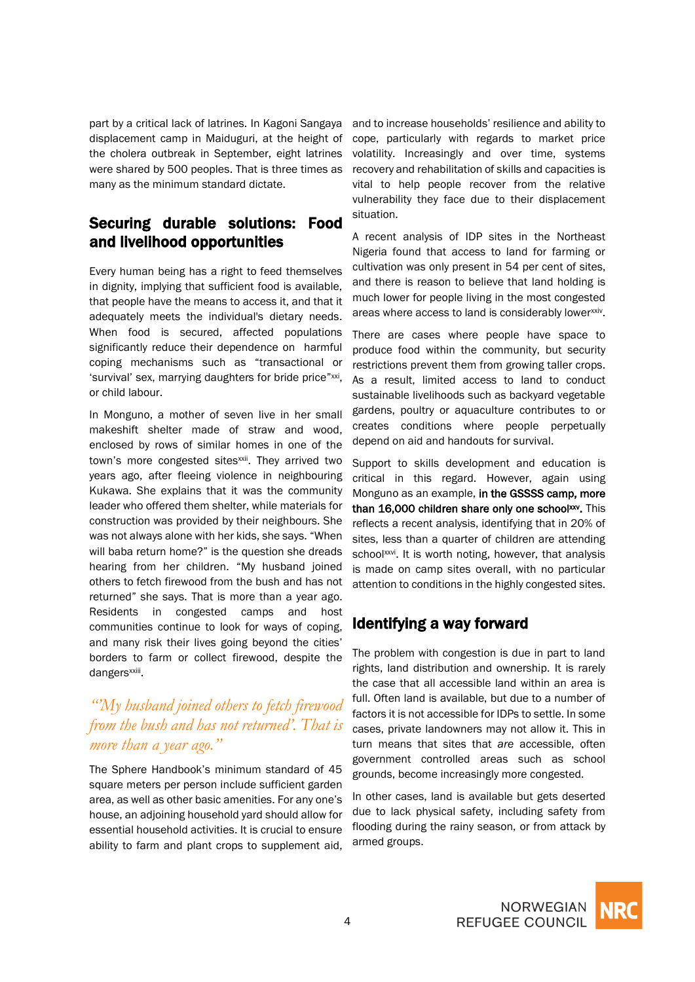part by a critical lack of latrines. In Kagoni Sangaya displacement camp in Maiduguri, at the height of the cholera outbreak in September, eight latrines were shared by 500 peoples. That is three times as many as the minimum standard dictate.

## Securing durable solutions: Food and livelihood opportunities

Every human being has a right to feed themselves in dignity, implying that sufficient food is available, that people have the means to access it, and that it adequately meets the individual's dietary needs. When food is secured, affected populations significantly reduce their dependence on harmful coping mechanisms such as "transactional or 'survival' sex, marrying daughters for bride price"xxi, or child labour.

In Monguno, a mother of seven live in her small makeshift shelter made of straw and wood, enclosed by rows of similar homes in one of the town's more congested sites<sup>xxii</sup>. They arrived two years ago, after fleeing violence in neighbouring Kukawa. She explains that it was the community leader who offered them shelter, while materials for construction was provided by their neighbours. She was not always alone with her kids, she says. "When will baba return home?" is the question she dreads hearing from her children. "My husband joined others to fetch firewood from the bush and has not returned" she says. That is more than a year ago. Residents in congested camps and host communities continue to look for ways of coping, and many risk their lives going beyond the cities' borders to farm or collect firewood, despite the dangers<sup>xxiii</sup>.

## *"'My husband joined others to fetch firewood from the bush and has not returned'. That is more than a year ago."*

The Sphere Handbook's minimum standard of 45 square meters per person include sufficient garden area, as well as other basic amenities. For any one's house, an adjoining household yard should allow for essential household activities. It is crucial to ensure ability to farm and plant crops to supplement aid,

and to increase households' resilience and ability to cope, particularly with regards to market price volatility. Increasingly and over time, systems recovery and rehabilitation of skills and capacities is vital to help people recover from the relative vulnerability they face due to their displacement situation.

A recent analysis of IDP sites in the Northeast Nigeria found that access to land for farming or cultivation was only present in 54 per cent of sites, and there is reason to believe that land holding is much lower for people living in the most congested areas where access to land is considerably lowerxxiv.

There are cases where people have space to produce food within the community, but security restrictions prevent them from growing taller crops. As a result, limited access to land to conduct sustainable livelihoods such as backyard vegetable gardens, poultry or aquaculture contributes to or creates conditions where people perpetually depend on aid and handouts for survival.

Support to skills development and education is critical in this regard. However, again using Monguno as an example, in the GSSSS camp, more than 16,000 children share only one school<sup>xxv</sup>. This reflects a recent analysis, identifying that in 20% of sites, less than a quarter of children are attending schoolxxvi. It is worth noting, however, that analysis is made on camp sites overall, with no particular attention to conditions in the highly congested sites.

## Identifying a way forward

The problem with congestion is due in part to land rights, land distribution and ownership. It is rarely the case that all accessible land within an area is full. Often land is available, but due to a number of factors it is not accessible for IDPs to settle. In some cases, private landowners may not allow it. This in turn means that sites that *are* accessible, often government controlled areas such as school grounds, become increasingly more congested.

In other cases, land is available but gets deserted due to lack physical safety, including safety from flooding during the rainy season, or from attack by armed groups.